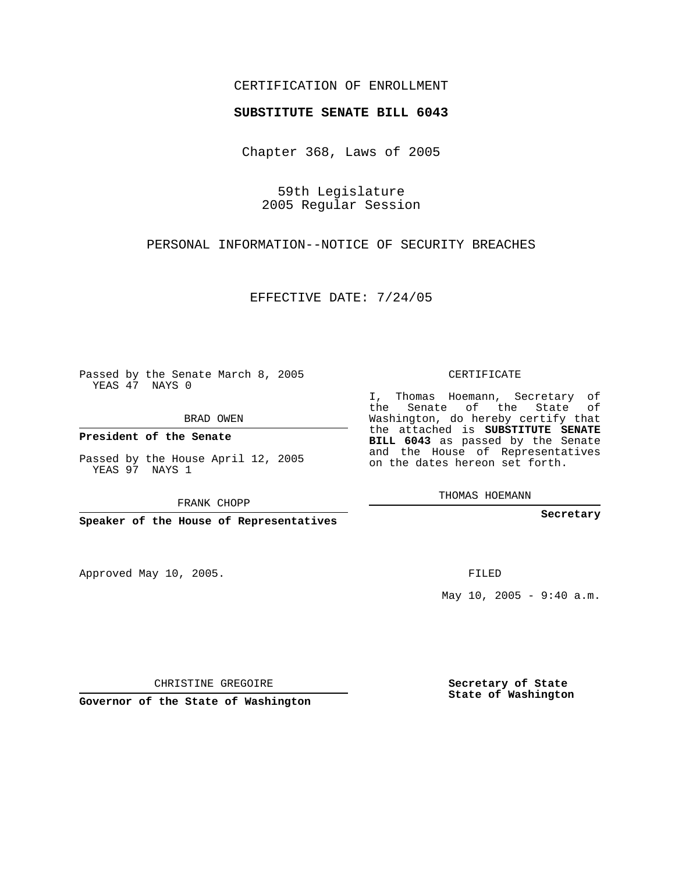## CERTIFICATION OF ENROLLMENT

## **SUBSTITUTE SENATE BILL 6043**

Chapter 368, Laws of 2005

59th Legislature 2005 Regular Session

PERSONAL INFORMATION--NOTICE OF SECURITY BREACHES

EFFECTIVE DATE: 7/24/05

Passed by the Senate March 8, 2005 YEAS 47 NAYS 0

BRAD OWEN

**President of the Senate**

Passed by the House April 12, 2005 YEAS 97 NAYS 1

FRANK CHOPP

**Speaker of the House of Representatives**

Approved May 10, 2005.

CERTIFICATE

I, Thomas Hoemann, Secretary of the Senate of the State of Washington, do hereby certify that the attached is **SUBSTITUTE SENATE BILL 6043** as passed by the Senate and the House of Representatives on the dates hereon set forth.

THOMAS HOEMANN

**Secretary**

FILED

May  $10$ ,  $2005 - 9:40$  a.m.

CHRISTINE GREGOIRE

**Governor of the State of Washington**

**Secretary of State State of Washington**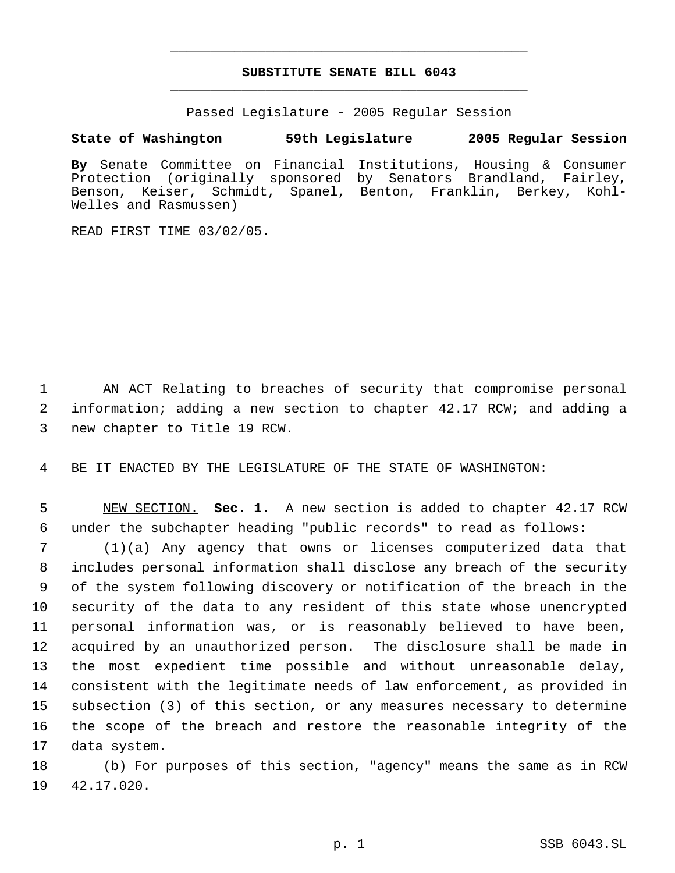## **SUBSTITUTE SENATE BILL 6043** \_\_\_\_\_\_\_\_\_\_\_\_\_\_\_\_\_\_\_\_\_\_\_\_\_\_\_\_\_\_\_\_\_\_\_\_\_\_\_\_\_\_\_\_\_

\_\_\_\_\_\_\_\_\_\_\_\_\_\_\_\_\_\_\_\_\_\_\_\_\_\_\_\_\_\_\_\_\_\_\_\_\_\_\_\_\_\_\_\_\_

Passed Legislature - 2005 Regular Session

## **State of Washington 59th Legislature 2005 Regular Session**

**By** Senate Committee on Financial Institutions, Housing & Consumer Protection (originally sponsored by Senators Brandland, Fairley, Benson, Keiser, Schmidt, Spanel, Benton, Franklin, Berkey, Kohl-Welles and Rasmussen)

READ FIRST TIME 03/02/05.

 AN ACT Relating to breaches of security that compromise personal information; adding a new section to chapter 42.17 RCW; and adding a new chapter to Title 19 RCW.

BE IT ENACTED BY THE LEGISLATURE OF THE STATE OF WASHINGTON:

 NEW SECTION. **Sec. 1.** A new section is added to chapter 42.17 RCW under the subchapter heading "public records" to read as follows:

 (1)(a) Any agency that owns or licenses computerized data that includes personal information shall disclose any breach of the security of the system following discovery or notification of the breach in the security of the data to any resident of this state whose unencrypted personal information was, or is reasonably believed to have been, acquired by an unauthorized person. The disclosure shall be made in the most expedient time possible and without unreasonable delay, consistent with the legitimate needs of law enforcement, as provided in subsection (3) of this section, or any measures necessary to determine the scope of the breach and restore the reasonable integrity of the data system.

 (b) For purposes of this section, "agency" means the same as in RCW 42.17.020.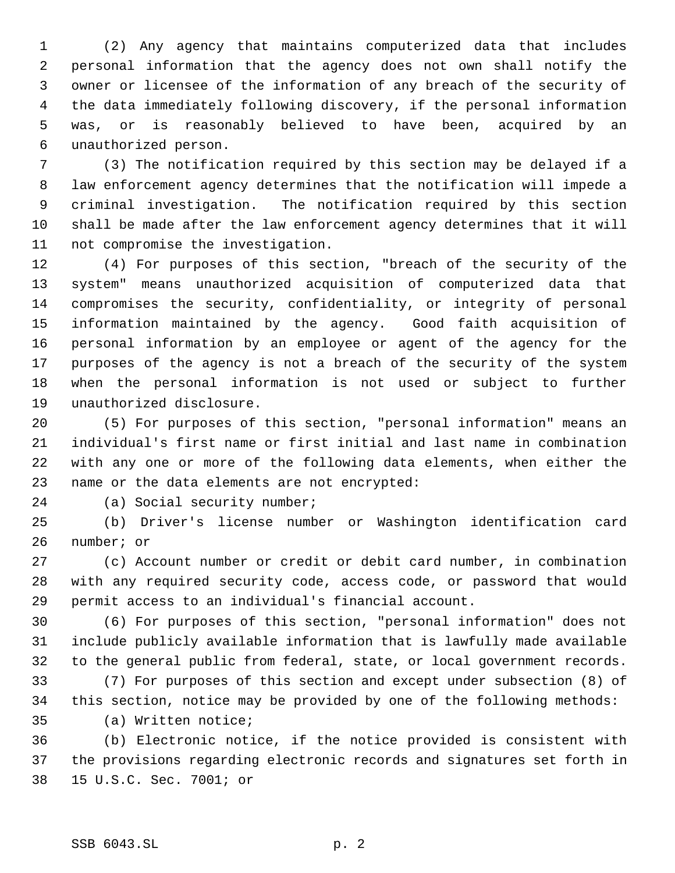(2) Any agency that maintains computerized data that includes personal information that the agency does not own shall notify the owner or licensee of the information of any breach of the security of the data immediately following discovery, if the personal information was, or is reasonably believed to have been, acquired by an unauthorized person.

 (3) The notification required by this section may be delayed if a law enforcement agency determines that the notification will impede a criminal investigation. The notification required by this section shall be made after the law enforcement agency determines that it will not compromise the investigation.

 (4) For purposes of this section, "breach of the security of the system" means unauthorized acquisition of computerized data that compromises the security, confidentiality, or integrity of personal information maintained by the agency. Good faith acquisition of personal information by an employee or agent of the agency for the purposes of the agency is not a breach of the security of the system when the personal information is not used or subject to further unauthorized disclosure.

 (5) For purposes of this section, "personal information" means an individual's first name or first initial and last name in combination with any one or more of the following data elements, when either the name or the data elements are not encrypted:

(a) Social security number;

 (b) Driver's license number or Washington identification card number; or

 (c) Account number or credit or debit card number, in combination with any required security code, access code, or password that would permit access to an individual's financial account.

 (6) For purposes of this section, "personal information" does not include publicly available information that is lawfully made available to the general public from federal, state, or local government records.

 (7) For purposes of this section and except under subsection (8) of this section, notice may be provided by one of the following methods:

(a) Written notice;

 (b) Electronic notice, if the notice provided is consistent with the provisions regarding electronic records and signatures set forth in 15 U.S.C. Sec. 7001; or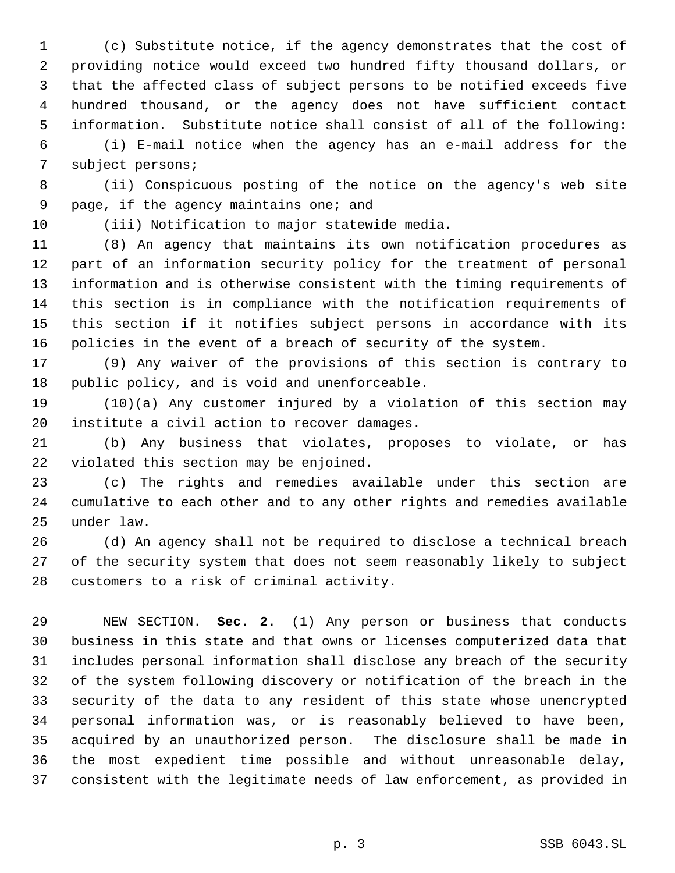(c) Substitute notice, if the agency demonstrates that the cost of providing notice would exceed two hundred fifty thousand dollars, or that the affected class of subject persons to be notified exceeds five hundred thousand, or the agency does not have sufficient contact information. Substitute notice shall consist of all of the following: (i) E-mail notice when the agency has an e-mail address for the

subject persons;

 (ii) Conspicuous posting of the notice on the agency's web site page, if the agency maintains one; and

(iii) Notification to major statewide media.

 (8) An agency that maintains its own notification procedures as part of an information security policy for the treatment of personal information and is otherwise consistent with the timing requirements of this section is in compliance with the notification requirements of this section if it notifies subject persons in accordance with its policies in the event of a breach of security of the system.

 (9) Any waiver of the provisions of this section is contrary to public policy, and is void and unenforceable.

 (10)(a) Any customer injured by a violation of this section may institute a civil action to recover damages.

 (b) Any business that violates, proposes to violate, or has violated this section may be enjoined.

 (c) The rights and remedies available under this section are cumulative to each other and to any other rights and remedies available under law.

 (d) An agency shall not be required to disclose a technical breach of the security system that does not seem reasonably likely to subject customers to a risk of criminal activity.

 NEW SECTION. **Sec. 2.** (1) Any person or business that conducts business in this state and that owns or licenses computerized data that includes personal information shall disclose any breach of the security of the system following discovery or notification of the breach in the security of the data to any resident of this state whose unencrypted personal information was, or is reasonably believed to have been, acquired by an unauthorized person. The disclosure shall be made in the most expedient time possible and without unreasonable delay, consistent with the legitimate needs of law enforcement, as provided in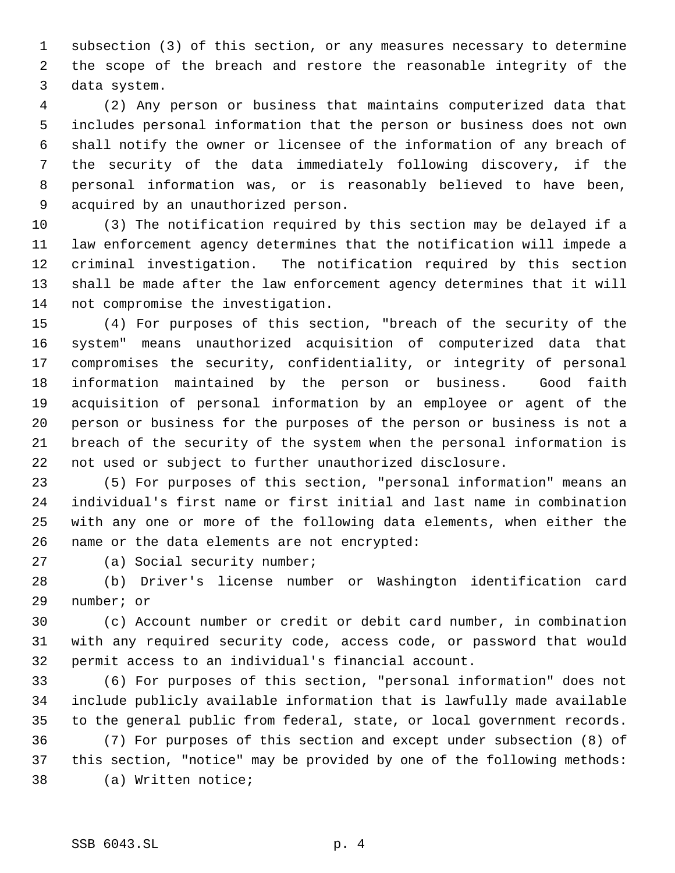subsection (3) of this section, or any measures necessary to determine the scope of the breach and restore the reasonable integrity of the data system.

 (2) Any person or business that maintains computerized data that includes personal information that the person or business does not own shall notify the owner or licensee of the information of any breach of the security of the data immediately following discovery, if the personal information was, or is reasonably believed to have been, acquired by an unauthorized person.

 (3) The notification required by this section may be delayed if a law enforcement agency determines that the notification will impede a criminal investigation. The notification required by this section shall be made after the law enforcement agency determines that it will not compromise the investigation.

 (4) For purposes of this section, "breach of the security of the system" means unauthorized acquisition of computerized data that compromises the security, confidentiality, or integrity of personal information maintained by the person or business. Good faith acquisition of personal information by an employee or agent of the person or business for the purposes of the person or business is not a breach of the security of the system when the personal information is not used or subject to further unauthorized disclosure.

 (5) For purposes of this section, "personal information" means an individual's first name or first initial and last name in combination with any one or more of the following data elements, when either the name or the data elements are not encrypted:

(a) Social security number;

 (b) Driver's license number or Washington identification card number; or

 (c) Account number or credit or debit card number, in combination with any required security code, access code, or password that would permit access to an individual's financial account.

 (6) For purposes of this section, "personal information" does not include publicly available information that is lawfully made available to the general public from federal, state, or local government records.

 (7) For purposes of this section and except under subsection (8) of this section, "notice" may be provided by one of the following methods: (a) Written notice;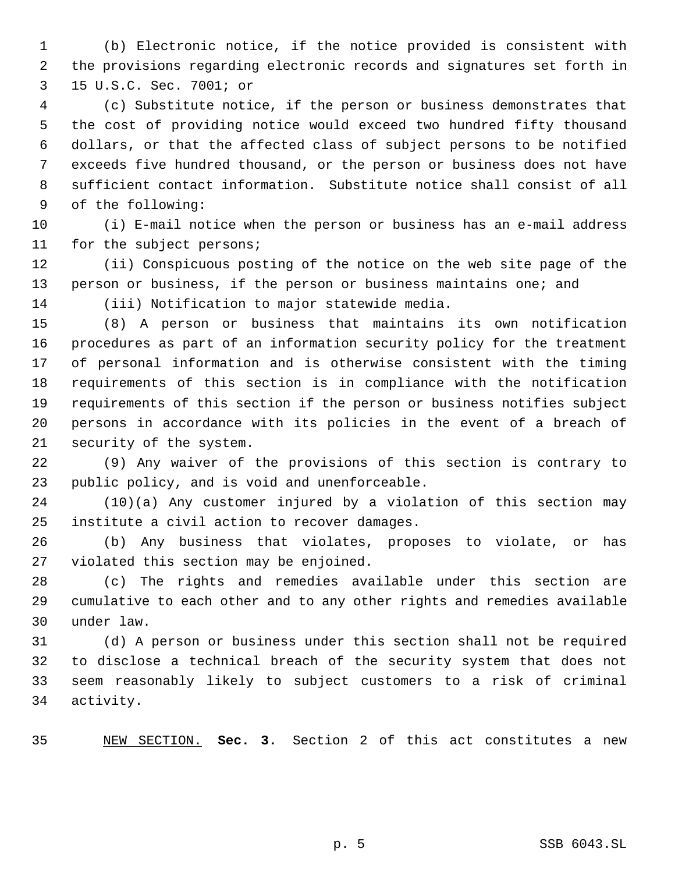(b) Electronic notice, if the notice provided is consistent with the provisions regarding electronic records and signatures set forth in 15 U.S.C. Sec. 7001; or

 (c) Substitute notice, if the person or business demonstrates that the cost of providing notice would exceed two hundred fifty thousand dollars, or that the affected class of subject persons to be notified exceeds five hundred thousand, or the person or business does not have sufficient contact information. Substitute notice shall consist of all of the following:

 (i) E-mail notice when the person or business has an e-mail address for the subject persons;

 (ii) Conspicuous posting of the notice on the web site page of the person or business, if the person or business maintains one; and (iii) Notification to major statewide media.

 (8) A person or business that maintains its own notification procedures as part of an information security policy for the treatment of personal information and is otherwise consistent with the timing requirements of this section is in compliance with the notification requirements of this section if the person or business notifies subject persons in accordance with its policies in the event of a breach of security of the system.

 (9) Any waiver of the provisions of this section is contrary to public policy, and is void and unenforceable.

 (10)(a) Any customer injured by a violation of this section may institute a civil action to recover damages.

 (b) Any business that violates, proposes to violate, or has violated this section may be enjoined.

 (c) The rights and remedies available under this section are cumulative to each other and to any other rights and remedies available under law.

 (d) A person or business under this section shall not be required to disclose a technical breach of the security system that does not seem reasonably likely to subject customers to a risk of criminal activity.

NEW SECTION. **Sec. 3.** Section 2 of this act constitutes a new